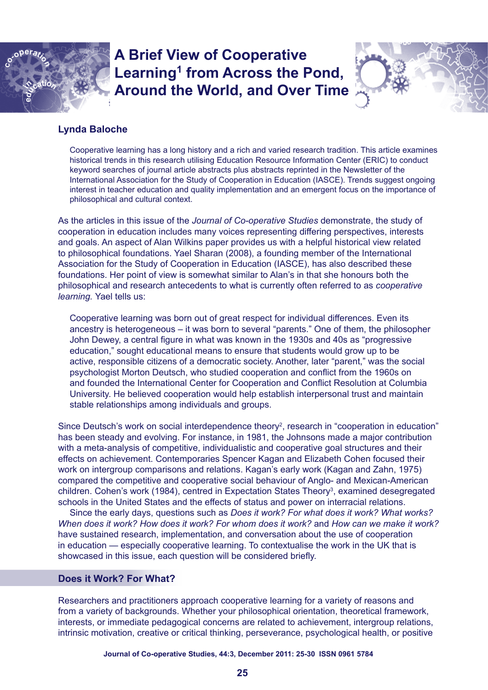

# **A Brief View of Cooperative**  Learning<sup>1</sup> from Across the Pond, **Around the World, and Over Time**



## **Lynda Baloche**

Cooperative learning has a long history and a rich and varied research tradition. This article examines historical trends in this research utilising Education Resource Information Center (ERIC) to conduct keyword searches of journal article abstracts plus abstracts reprinted in the Newsletter of the International Association for the Study of Cooperation in Education (IASCE). Trends suggest ongoing interest in teacher education and quality implementation and an emergent focus on the importance of philosophical and cultural context.

As the articles in this issue of the *Journal of Co-operative Studies* demonstrate, the study of cooperation in education includes many voices representing differing perspectives, interests and goals. An aspect of Alan Wilkins paper provides us with a helpful historical view related to philosophical foundations. Yael Sharan (2008), a founding member of the International Association for the Study of Cooperation in Education (IASCE), has also described these foundations. Her point of view is somewhat similar to Alan's in that she honours both the philosophical and research antecedents to what is currently often referred to as *cooperative learning.* Yael tells us:

Cooperative learning was born out of great respect for individual differences. Even its ancestry is heterogeneous – it was born to several "parents." One of them, the philosopher John Dewey, a central figure in what was known in the 1930s and 40s as "progressive education," sought educational means to ensure that students would grow up to be active, responsible citizens of a democratic society. Another, later "parent," was the social psychologist Morton Deutsch, who studied cooperation and conflict from the 1960s on and founded the International Center for Cooperation and Conflict Resolution at Columbia University. He believed cooperation would help establish interpersonal trust and maintain stable relationships among individuals and groups.

Since Deutsch's work on social interdependence theory<sup>2</sup>, research in "cooperation in education" has been steady and evolving. For instance, in 1981, the Johnsons made a major contribution with a meta-analysis of competitive, individualistic and cooperative goal structures and their effects on achievement. Contemporaries Spencer Kagan and Elizabeth Cohen focused their work on intergroup comparisons and relations. Kagan's early work (Kagan and Zahn, 1975) compared the competitive and cooperative social behaviour of Anglo- and Mexican-American children. Cohen's work (1984), centred in Expectation States Theory<sup>3</sup>, examined desegregated schools in the United States and the effects of status and power on interracial relations.

Since the early days, questions such as *Does it work? For what does it work? What works? When does it work? How does it work? For whom does it work?* and *How can we make it work?* have sustained research, implementation, and conversation about the use of cooperation in education — especially cooperative learning. To contextualise the work in the UK that is showcased in this issue, each question will be considered briefly.

## **Does it Work? For What?**

Researchers and practitioners approach cooperative learning for a variety of reasons and from a variety of backgrounds. Whether your philosophical orientation, theoretical framework, interests, or immediate pedagogical concerns are related to achievement, intergroup relations, intrinsic motivation, creative or critical thinking, perseverance, psychological health, or positive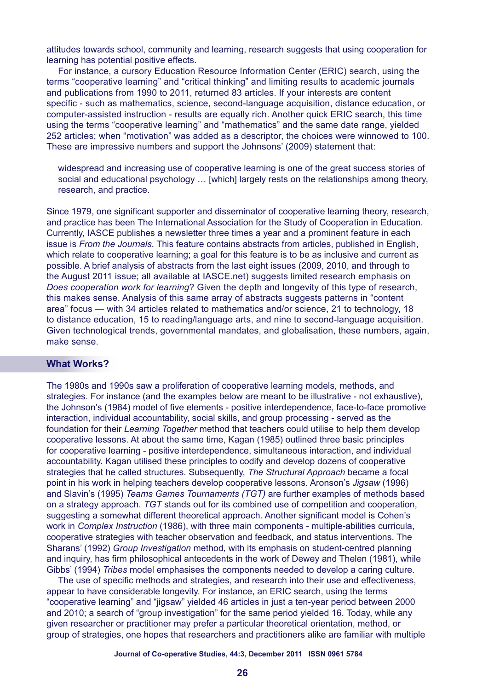attitudes towards school, community and learning, research suggests that using cooperation for learning has potential positive effects.

For instance, a cursory Education Resource Information Center (ERIC) search, using the terms "cooperative learning" and "critical thinking" and limiting results to academic journals and publications from 1990 to 2011, returned 83 articles. If your interests are content specific - such as mathematics, science, second-language acquisition, distance education, or computer-assisted instruction - results are equally rich. Another quick ERIC search, this time using the terms "cooperative learning" and "mathematics" and the same date range, yielded 252 articles; when "motivation" was added as a descriptor, the choices were winnowed to 100. These are impressive numbers and support the Johnsons' (2009) statement that:

widespread and increasing use of cooperative learning is one of the great success stories of social and educational psychology … [which] largely rests on the relationships among theory, research, and practice.

Since 1979, one significant supporter and disseminator of cooperative learning theory, research, and practice has been The International Association for the Study of Cooperation in Education. Currently, IASCE publishes a newsletter three times a year and a prominent feature in each issue is *From the Journals*. This feature contains abstracts from articles, published in English, which relate to cooperative learning; a goal for this feature is to be as inclusive and current as possible. A brief analysis of abstracts from the last eight issues (2009, 2010, and through to the August 2011 issue; all available at IASCE.net) suggests limited research emphasis on *Does cooperation work for learning*? Given the depth and longevity of this type of research, this makes sense. Analysis of this same array of abstracts suggests patterns in "content area" focus — with 34 articles related to mathematics and/or science, 21 to technology, 18 to distance education, 15 to reading/language arts, and nine to second-language acquisition. Given technological trends, governmental mandates, and globalisation, these numbers, again, make sense.

#### **What Works?**

The 1980s and 1990s saw a proliferation of cooperative learning models, methods, and strategies. For instance (and the examples below are meant to be illustrative - not exhaustive), the Johnson's (1984) model of five elements - positive interdependence, face-to-face promotive interaction, individual accountability, social skills, and group processing - served as the foundation for their *Learning Together* method that teachers could utilise to help them develop cooperative lessons. At about the same time, Kagan (1985) outlined three basic principles for cooperative learning - positive interdependence, simultaneous interaction, and individual accountability. Kagan utilised these principles to codify and develop dozens of cooperative strategies that he called structures. Subsequently, *The Structural Approach* became a focal point in his work in helping teachers develop cooperative lessons. Aronson's *Jigsaw* (1996) and Slavin's (1995) *Teams Games Tournaments (TGT)* are further examples of methods based on a strategy approach. *TGT* stands out for its combined use of competition and cooperation, suggesting a somewhat different theoretical approach. Another significant model is Cohen's work in *Complex Instruction* (1986), with three main components - multiple-abilities curricula, cooperative strategies with teacher observation and feedback, and status interventions. The Sharans' (1992) *Group Investigation* method*,* with its emphasis on student-centred planning and inquiry, has firm philosophical antecedents in the work of Dewey and Thelen (1981), while Gibbs' (1994) *Tribes* model emphasises the components needed to develop a caring culture.

The use of specific methods and strategies, and research into their use and effectiveness, appear to have considerable longevity. For instance, an ERIC search, using the terms "cooperative learning" and "jigsaw" yielded 46 articles in just a ten-year period between 2000 and 2010; a search of "group investigation" for the same period yielded 16. Today, while any given researcher or practitioner may prefer a particular theoretical orientation, method, or group of strategies, one hopes that researchers and practitioners alike are familiar with multiple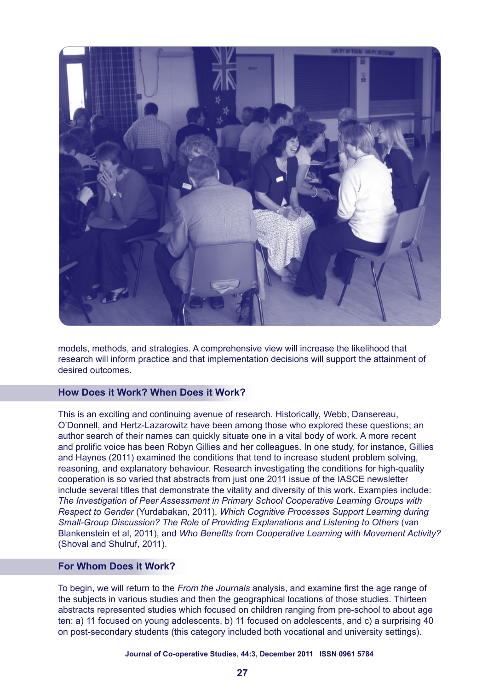

models, methods, and strategies. A comprehensive view will increase the likelihood that research will inform practice and that implementation decisions will support the attainment of desired outcomes.

## **How Does it Work? When Does it Work?**

This is an exciting and continuing avenue of research. Historically, Webb, Dansereau, O'Donnell, and Hertz-Lazarowitz have been among those who explored these questions; an author search of their names can quickly situate one in a vital body of work. A more recent and prolific voice has been Robyn Gillies and her colleagues. In one study, for instance, Gillies and Haynes (2011) examined the conditions that tend to increase student problem solving, reasoning, and explanatory behaviour. Research investigating the conditions for high-quality cooperation is so varied that abstracts from just one 2011 issue of the IASCE newsletter include several titles that demonstrate the vitality and diversity of this work. Examples include: *The Investigation of Peer Assessment in Primary School Cooperative Learning Groups with Respect to Gender* (Yurdabakan, 2011), *Which Cognitive Processes Support Learning during Small-Group Discussion? The Role of Providing Explanations and Listening to Others* (van Blankenstein et al, 2011), and *Who Benefits from Cooperative Learning with Movement Activity?* (Shoval and Shulruf, 2011).

## **For Whom Does it Work?**

To begin, we will return to the *From the Journals* analysis, and examine first the age range of the subjects in various studies and then the geographical locations of those studies. Thirteen abstracts represented studies which focused on children ranging from pre-school to about age ten: a) 11 focused on young adolescents, b) 11 focused on adolescents, and c) a surprising 40 on post-secondary students (this category included both vocational and university settings).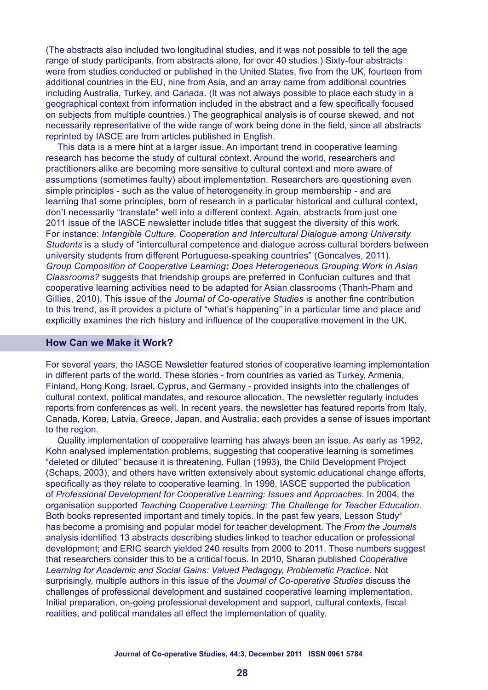(The abstracts also included two longitudinal studies, and it was not possible to tell the age range of study participants, from abstracts alone, for over 40 studies.) Sixty-four abstracts were from studies conducted or published in the United States, five from the UK, fourteen from additional countries in the EU, nine from Asia, and an array came from additional countries including Australia, Turkey, and Canada. (It was not always possible to place each study in a geographical context from information included in the abstract and a few specifically focused on subjects from multiple countries.) The geographical analysis is of course skewed, and not necessarily representative of the wide range of work being done in the field, since all abstracts reprinted by IASCE are from articles published in English.

This data is a mere hint at a larger issue. An important trend in cooperative learning research has become the study of cultural context. Around the world, researchers and practitioners alike are becoming more sensitive to cultural context and more aware of assumptions (sometimes faulty) about implementation. Researchers are questioning even simple principles - such as the value of heterogeneity in group membership - and are learning that some principles, born of research in a particular historical and cultural context, don't necessarily "translate" well into a different context. Again, abstracts from just one 2011 issue of the IASCE newsletter include titles that suggest the diversity of this work. For instance: *Intangible Culture, Cooperation and Intercultural Dialogue among University Students* is a study of "intercultural competence and dialogue across cultural borders between university students from different Portuguese-speaking countries" (Goncalves, 2011). *Group Composition of Cooperative Learning: Does Heterogeneous Grouping Work in Asian Classrooms?* suggests that friendship groups are preferred in Confucian cultures and that cooperative learning activities need to be adapted for Asian classrooms (Thanh-Pham and Gillies, 2010). This issue of the *Journal of Co-operative Studies* is another fine contribution to this trend, as it provides a picture of "what's happening" in a particular time and place and explicitly examines the rich history and influence of the cooperative movement in the UK.

#### **How Can we Make it Work?**

For several years, the IASCE Newsletter featured stories of cooperative learning implementation in different parts of the world. These stories - from countries as varied as Turkey, Armenia, Finland, Hong Kong, Israel, Cyprus, and Germany - provided insights into the challenges of cultural context, political mandates, and resource allocation. The newsletter regularly includes reports from conferences as well. In recent years, the newsletter has featured reports from Italy, Canada, Korea, Latvia, Greece, Japan, and Australia; each provides a sense of issues important to the region.

Quality implementation of cooperative learning has always been an issue. As early as 1992, Kohn analysed implementation problems, suggesting that cooperative learning is sometimes "deleted or diluted" because it is threatening. Fullan (1993), the Child Development Project (Schaps, 2003), and others have written extensively about systemic educational change efforts, specifically as they relate to cooperative learning. In 1998, IASCE supported the publication of *Professional Development for Cooperative Learning: Issues and Approaches*. In 2004, the organisation supported *Teaching Cooperative Learning: The Challenge for Teacher Education*. Both books represented important and timely topics. In the past few years, Lesson Study<sup>4</sup> has become a promising and popular model for teacher development. The *From the Journals* analysis identified 13 abstracts describing studies linked to teacher education or professional development; and ERIC search yielded 240 results from 2000 to 2011. These numbers suggest that researchers consider this to be a critical focus. In 2010, Sharan published *Cooperative Learning for Academic and Social Gains: Valued Pedagogy, Problematic Practice*. Not surprisingly, multiple authors in this issue of the *Journal of Co-operative Studies* discuss the challenges of professional development and sustained cooperative learning implementation. Initial preparation, on-going professional development and support, cultural contexts, fiscal realities, and political mandates all effect the implementation of quality.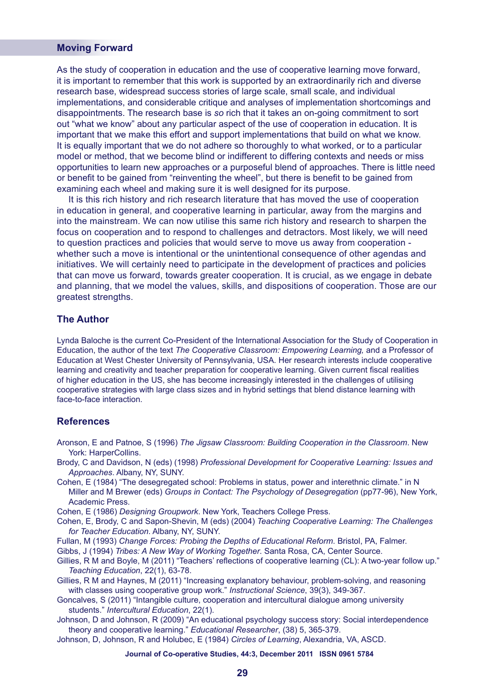## **Moving Forward**

As the study of cooperation in education and the use of cooperative learning move forward, it is important to remember that this work is supported by an extraordinarily rich and diverse research base, widespread success stories of large scale, small scale, and individual implementations, and considerable critique and analyses of implementation shortcomings and disappointments. The research base is *so* rich that it takes an on-going commitment to sort out "what we know" about any particular aspect of the use of cooperation in education. It is important that we make this effort and support implementations that build on what we know. It is equally important that we do not adhere so thoroughly to what worked, or to a particular model or method, that we become blind or indifferent to differing contexts and needs or miss opportunities to learn new approaches or a purposeful blend of approaches. There is little need or benefit to be gained from "reinventing the wheel", but there is benefit to be gained from examining each wheel and making sure it is well designed for its purpose.

It is this rich history and rich research literature that has moved the use of cooperation in education in general, and cooperative learning in particular, away from the margins and into the mainstream. We can now utilise this same rich history and research to sharpen the focus on cooperation and to respond to challenges and detractors. Most likely, we will need to question practices and policies that would serve to move us away from cooperation whether such a move is intentional or the unintentional consequence of other agendas and initiatives. We will certainly need to participate in the development of practices and policies that can move us forward, towards greater cooperation. It is crucial, as we engage in debate and planning, that we model the values, skills, and dispositions of cooperation. Those are our greatest strengths.

## **The Author**

Lynda Baloche is the current Co-President of the International Association for the Study of Cooperation in Education, the author of the text *The Cooperative Classroom: Empowering Learning,* and a Professor of Education at West Chester University of Pennsylvania, USA. Her research interests include cooperative learning and creativity and teacher preparation for cooperative learning. Given current fiscal realities of higher education in the US, she has become increasingly interested in the challenges of utilising cooperative strategies with large class sizes and in hybrid settings that blend distance learning with face-to-face interaction.

#### **References**

- Aronson, E and Patnoe, S (1996) *The Jigsaw Classroom: Building Cooperation in the Classroom*. New York: HarperCollins.
- Brody, C and Davidson, N (eds) (1998) *Professional Development for Cooperative Learning: Issues and Approaches*. Albany, NY, SUNY.
- Cohen, E (1984) "The desegregated school: Problems in status, power and interethnic climate." in N Miller and M Brewer (eds) *Groups in Contact: The Psychology of Desegregation* (pp77-96), New York, Academic Press.
- Cohen, E (1986) *Designing Groupwork*. New York, Teachers College Press.
- Cohen, E, Brody, C and Sapon-Shevin, M (eds) (2004) *Teaching Cooperative Learning: The Challenges for Teacher Education*. Albany, NY, SUNY.
- Fullan, M (1993) *Change Forces: Probing the Depths of Educational Reform*. Bristol, PA, Falmer.
- Gibbs, J (1994) *Tribes: A New Way of Working Together*. Santa Rosa, CA, Center Source.
- Gillies, R M and Boyle, M (2011) "Teachers' reflections of cooperative learning (CL): A two-year follow up." *Teaching Education*, 22(1), 63-78.
- Gillies, R M and Haynes, M (2011) "Increasing explanatory behaviour, problem-solving, and reasoning with classes using cooperative group work." *Instructional Science*, 39(3), 349-367.
- Goncalves, S (2011) "Intangible culture, cooperation and intercultural dialogue among university students." *Intercultural Education*, 22(1).
- Johnson, D and Johnson, R (2009) "An educational psychology success story: Social interdependence theory and cooperative learning." *Educational Researcher*, (38) 5, 365-379.
- Johnson, D, Johnson, R and Holubec, E (1984) *Circles of Learning*, Alexandria, VA, ASCD.

#### **Journal of Co-operative Studies, 44:3, December 2011 ISSN 0961 5784**